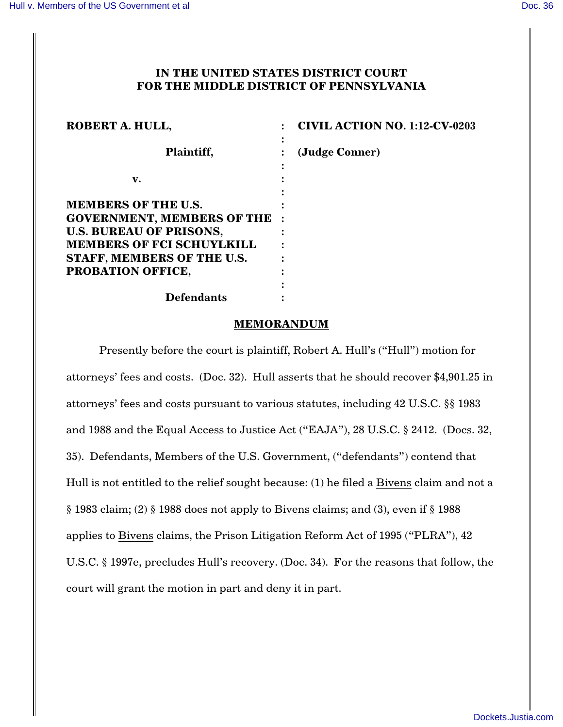# **IN THE UNITED STATES DISTRICT COURT FOR THE MIDDLE DISTRICT OF PENNSYLVANIA**

| ROBERT A. HULL,                                                                                                                                                                            | <b>CIVIL ACTION NO. 1:12-CV-0203</b> |
|--------------------------------------------------------------------------------------------------------------------------------------------------------------------------------------------|--------------------------------------|
| Plaintiff,                                                                                                                                                                                 | (Judge Conner)                       |
| v.                                                                                                                                                                                         |                                      |
| <b>MEMBERS OF THE U.S.</b><br><b>GOVERNMENT, MEMBERS OF THE :</b><br><b>U.S. BUREAU OF PRISONS,</b><br><b>MEMBERS OF FCI SCHUYLKILL</b><br>STAFF, MEMBERS OF THE U.S.<br>PROBATION OFFICE, |                                      |
| <b>Defendants</b>                                                                                                                                                                          |                                      |

#### **MEMORANDUM**

Presently before the court is plaintiff, Robert A. Hull's ("Hull") motion for attorneys' fees and costs. (Doc. 32). Hull asserts that he should recover \$4,901.25 in attorneys' fees and costs pursuant to various statutes, including 42 U.S.C. §§ 1983 and 1988 and the Equal Access to Justice Act ("EAJA"), 28 U.S.C. § 2412. (Docs. 32, 35). Defendants, Members of the U.S. Government, ("defendants") contend that Hull is not entitled to the relief sought because: (1) he filed a Bivens claim and not a § 1983 claim; (2) § 1988 does not apply to Bivens claims; and (3), even if § 1988 applies to Bivens claims, the Prison Litigation Reform Act of 1995 ("PLRA"), 42 U.S.C. § 1997e, precludes Hull's recovery. (Doc. 34). For the reasons that follow, the court will grant the motion in part and deny it in part.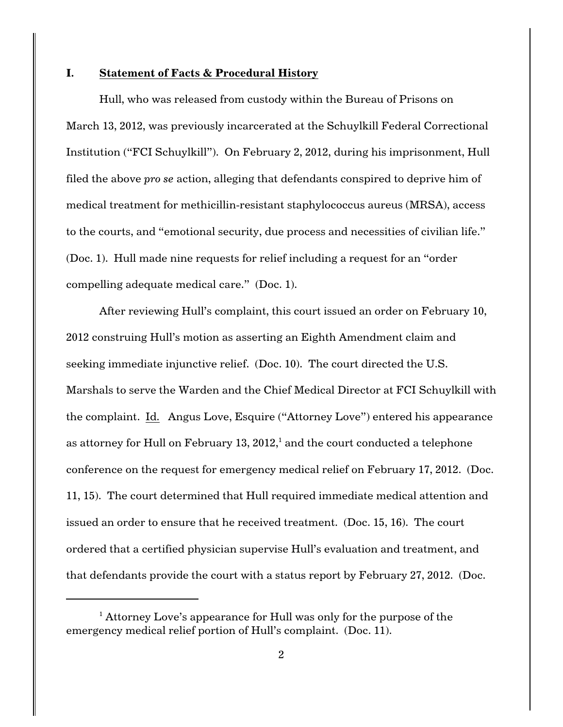## **I. Statement of Facts & Procedural History**

Hull, who was released from custody within the Bureau of Prisons on March 13, 2012, was previously incarcerated at the Schuylkill Federal Correctional Institution ("FCI Schuylkill"). On February 2, 2012, during his imprisonment, Hull filed the above *pro se* action, alleging that defendants conspired to deprive him of medical treatment for methicillin-resistant staphylococcus aureus (MRSA), access to the courts, and "emotional security, due process and necessities of civilian life." (Doc. 1). Hull made nine requests for relief including a request for an "order compelling adequate medical care." (Doc. 1).

After reviewing Hull's complaint, this court issued an order on February 10, 2012 construing Hull's motion as asserting an Eighth Amendment claim and seeking immediate injunctive relief. (Doc. 10). The court directed the U.S. Marshals to serve the Warden and the Chief Medical Director at FCI Schuylkill with the complaint. Id. Angus Love, Esquire ("Attorney Love") entered his appearance as attorney for Hull on February 13,  $2012<sup>1</sup>$  and the court conducted a telephone conference on the request for emergency medical relief on February 17, 2012. (Doc. 11, 15). The court determined that Hull required immediate medical attention and issued an order to ensure that he received treatment. (Doc. 15, 16). The court ordered that a certified physician supervise Hull's evaluation and treatment, and that defendants provide the court with a status report by February 27, 2012. (Doc.

 $^{\rm 1}$  Attorney Love's appearance for Hull was only for the purpose of the emergency medical relief portion of Hull's complaint. (Doc. 11).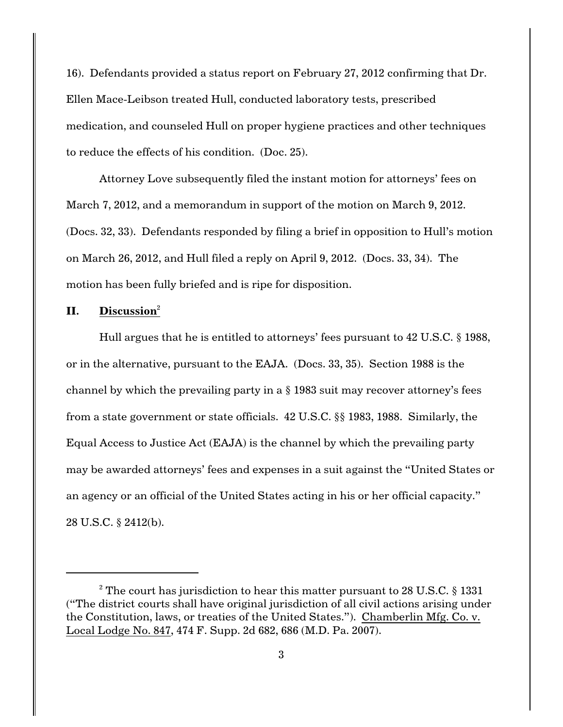16). Defendants provided a status report on February 27, 2012 confirming that Dr. Ellen Mace-Leibson treated Hull, conducted laboratory tests, prescribed medication, and counseled Hull on proper hygiene practices and other techniques to reduce the effects of his condition. (Doc. 25).

Attorney Love subsequently filed the instant motion for attorneys' fees on March 7, 2012, and a memorandum in support of the motion on March 9, 2012. (Docs. 32, 33). Defendants responded by filing a brief in opposition to Hull's motion on March 26, 2012, and Hull filed a reply on April 9, 2012. (Docs. 33, 34). The motion has been fully briefed and is ripe for disposition.

## **II. Discussion**<sup>2</sup>

Hull argues that he is entitled to attorneys' fees pursuant to 42 U.S.C. § 1988, or in the alternative, pursuant to the EAJA. (Docs. 33, 35). Section 1988 is the channel by which the prevailing party in a § 1983 suit may recover attorney's fees from a state government or state officials. 42 U.S.C. §§ 1983, 1988. Similarly, the Equal Access to Justice Act (EAJA) is the channel by which the prevailing party may be awarded attorneys' fees and expenses in a suit against the "United States or an agency or an official of the United States acting in his or her official capacity." 28 U.S.C. § 2412(b).

 $2$  The court has jurisdiction to hear this matter pursuant to 28 U.S.C. § 1331 ("The district courts shall have original jurisdiction of all civil actions arising under the Constitution, laws, or treaties of the United States."). Chamberlin Mfg. Co. v. Local Lodge No. 847, 474 F. Supp. 2d 682, 686 (M.D. Pa. 2007).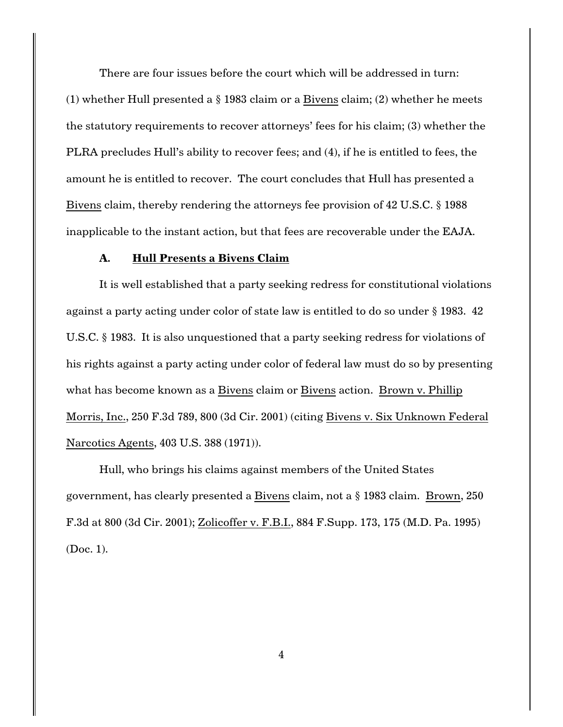There are four issues before the court which will be addressed in turn:

(1) whether Hull presented a  $\S$  1983 claim or a Bivens claim; (2) whether he meets the statutory requirements to recover attorneys' fees for his claim; (3) whether the PLRA precludes Hull's ability to recover fees; and (4), if he is entitled to fees, the amount he is entitled to recover. The court concludes that Hull has presented a Bivens claim, thereby rendering the attorneys fee provision of 42 U.S.C. § 1988 inapplicable to the instant action, but that fees are recoverable under the EAJA.

#### **A. Hull Presents a Bivens Claim**

It is well established that a party seeking redress for constitutional violations against a party acting under color of state law is entitled to do so under § 1983. 42 U.S.C. § 1983. It is also unquestioned that a party seeking redress for violations of his rights against a party acting under color of federal law must do so by presenting what has become known as a Bivens claim or Bivens action. Brown v. Phillip Morris, Inc., 250 F.3d 789, 800 (3d Cir. 2001) (citing Bivens v. Six Unknown Federal Narcotics Agents, 403 U.S. 388 (1971)).

Hull, who brings his claims against members of the United States government, has clearly presented a Bivens claim, not a § 1983 claim. Brown, 250 F.3d at 800 (3d Cir. 2001); Zolicoffer v. F.B.I., 884 F.Supp. 173, 175 (M.D. Pa. 1995) (Doc. 1).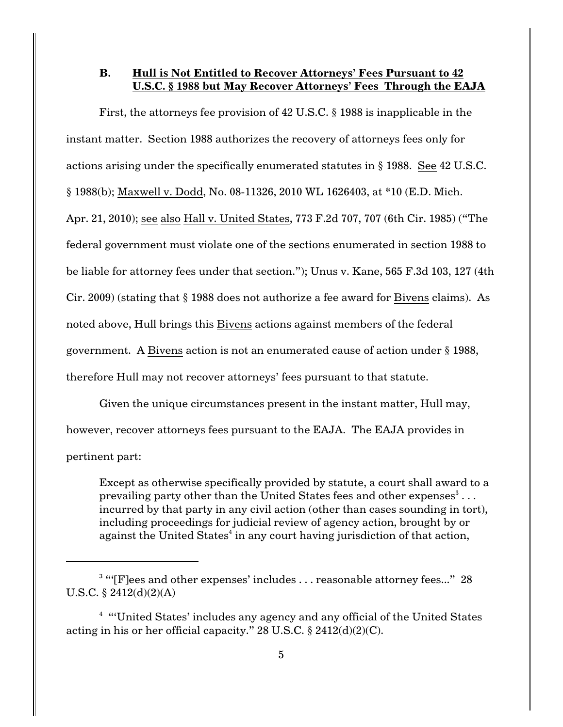## **B. Hull is Not Entitled to Recover Attorneys' Fees Pursuant to 42 U.S.C. § 1988 but May Recover Attorneys' Fees Through the EAJA**

First, the attorneys fee provision of 42 U.S.C. § 1988 is inapplicable in the instant matter. Section 1988 authorizes the recovery of attorneys fees only for actions arising under the specifically enumerated statutes in § 1988. See 42 U.S.C. § 1988(b); Maxwell v. Dodd, No. 08-11326, 2010 WL 1626403, at \*10 (E.D. Mich. Apr. 21, 2010); see also Hall v. United States, 773 F.2d 707, 707 (6th Cir. 1985) ("The federal government must violate one of the sections enumerated in section 1988 to be liable for attorney fees under that section."); Unus v. Kane, 565 F.3d 103, 127 (4th Cir. 2009) (stating that § 1988 does not authorize a fee award for Bivens claims). As noted above, Hull brings this Bivens actions against members of the federal government. A Bivens action is not an enumerated cause of action under § 1988, therefore Hull may not recover attorneys' fees pursuant to that statute.

Given the unique circumstances present in the instant matter, Hull may, however, recover attorneys fees pursuant to the EAJA. The EAJA provides in pertinent part:

Except as otherwise specifically provided by statute, a court shall award to a prevailing party other than the United States fees and other expenses $^3 \ldots$ incurred by that party in any civil action (other than cases sounding in tort), including proceedings for judicial review of agency action, brought by or against the United States<sup>4</sup> in any court having jurisdiction of that action,

 $3$  "'[F]ees and other expenses' includes . . . reasonable attorney fees..." 28 U.S.C. § 2412(d)(2)(A)

<sup>&</sup>lt;sup>4</sup> "United States' includes any agency and any official of the United States acting in his or her official capacity." 28 U.S.C.  $\S$  2412(d)(2)(C).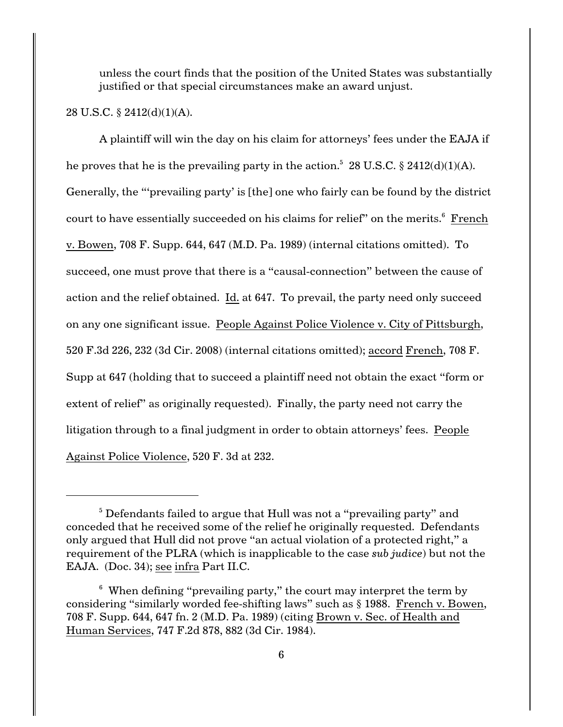unless the court finds that the position of the United States was substantially justified or that special circumstances make an award unjust.

### 28 U.S.C. § 2412(d)(1)(A).

A plaintiff will win the day on his claim for attorneys' fees under the EAJA if he proves that he is the prevailing party in the action.<sup>5</sup> 28 U.S.C. § 2412(d)(1)(A). Generally, the "'prevailing party' is [the] one who fairly can be found by the district court to have essentially succeeded on his claims for relief" on the merits.<sup>6</sup> French v. Bowen, 708 F. Supp. 644, 647 (M.D. Pa. 1989) (internal citations omitted). To succeed, one must prove that there is a "causal-connection" between the cause of action and the relief obtained. Id. at 647. To prevail, the party need only succeed on any one significant issue. People Against Police Violence v. City of Pittsburgh, 520 F.3d 226, 232 (3d Cir. 2008) (internal citations omitted); accord French, 708 F. Supp at 647 (holding that to succeed a plaintiff need not obtain the exact "form or extent of relief" as originally requested). Finally, the party need not carry the litigation through to a final judgment in order to obtain attorneys' fees. People Against Police Violence, 520 F. 3d at 232.

 $^5$  Defendants failed to argue that Hull was not a "prevailing party" and conceded that he received some of the relief he originally requested. Defendants only argued that Hull did not prove "an actual violation of a protected right," a requirement of the PLRA (which is inapplicable to the case *sub judice*) but not the EAJA. (Doc. 34); see infra Part II.C.

 $^6$  When defining "prevailing party," the court may interpret the term by considering "similarly worded fee-shifting laws" such as § 1988. French v. Bowen, 708 F. Supp. 644, 647 fn. 2 (M.D. Pa. 1989) (citing Brown v. Sec. of Health and Human Services, 747 F.2d 878, 882 (3d Cir. 1984).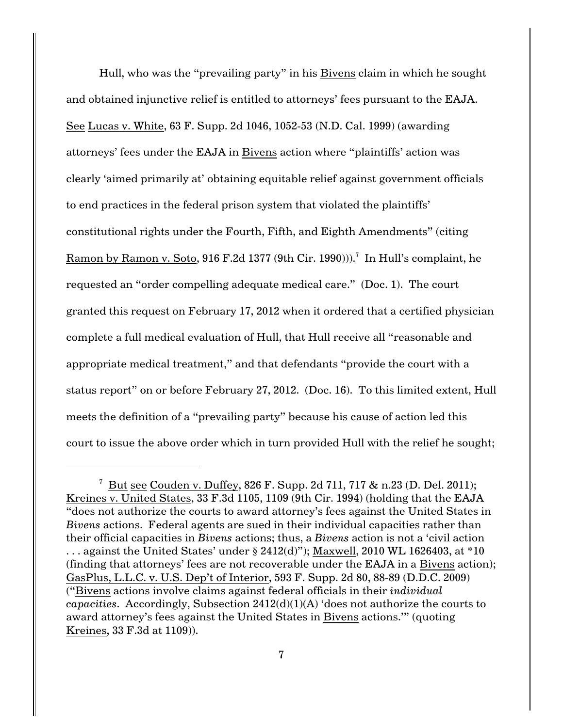Hull, who was the "prevailing party" in his Bivens claim in which he sought and obtained injunctive relief is entitled to attorneys' fees pursuant to the EAJA. See Lucas v. White, 63 F. Supp. 2d 1046, 1052-53 (N.D. Cal. 1999) (awarding attorneys' fees under the EAJA in Bivens action where "plaintiffs' action was clearly 'aimed primarily at' obtaining equitable relief against government officials to end practices in the federal prison system that violated the plaintiffs' constitutional rights under the Fourth, Fifth, and Eighth Amendments" (citing  $\rm{Ramon}$  by  $\rm{Ramon}$  v.  $\rm{Soto},$   $916$   $\rm{F.2d}$   $1377$  ( $9\rm{th}$  Cir. 1990))). $^7\,$  In Hull's complaint, he requested an "order compelling adequate medical care." (Doc. 1). The court granted this request on February 17, 2012 when it ordered that a certified physician complete a full medical evaluation of Hull, that Hull receive all "reasonable and appropriate medical treatment," and that defendants "provide the court with a status report" on or before February 27, 2012. (Doc. 16). To this limited extent, Hull meets the definition of a "prevailing party" because his cause of action led this court to issue the above order which in turn provided Hull with the relief he sought;

<sup>&</sup>lt;sup>7</sup> But see Couden v. Duffey, 826 F. Supp. 2d 711, 717 & n.23 (D. Del. 2011); Kreines v. United States, 33 F.3d 1105, 1109 (9th Cir. 1994) (holding that the EAJA "does not authorize the courts to award attorney's fees against the United States in *Bivens* actions. Federal agents are sued in their individual capacities rather than their official capacities in *Bivens* actions; thus, a *Bivens* action is not a 'civil action  $\ldots$  against the United States' under § 2412(d)"); Maxwell, 2010 WL 1626403, at \*10 (finding that attorneys' fees are not recoverable under the EAJA in a Bivens action); GasPlus, L.L.C. v. U.S. Dep't of Interior, 593 F. Supp. 2d 80, 88-89 (D.D.C. 2009) ("Bivens actions involve claims against federal officials in their *individual capacities*. Accordingly, Subsection 2412(d)(1)(A) 'does not authorize the courts to award attorney's fees against the United States in Bivens actions.'" (quoting Kreines, 33 F.3d at 1109)).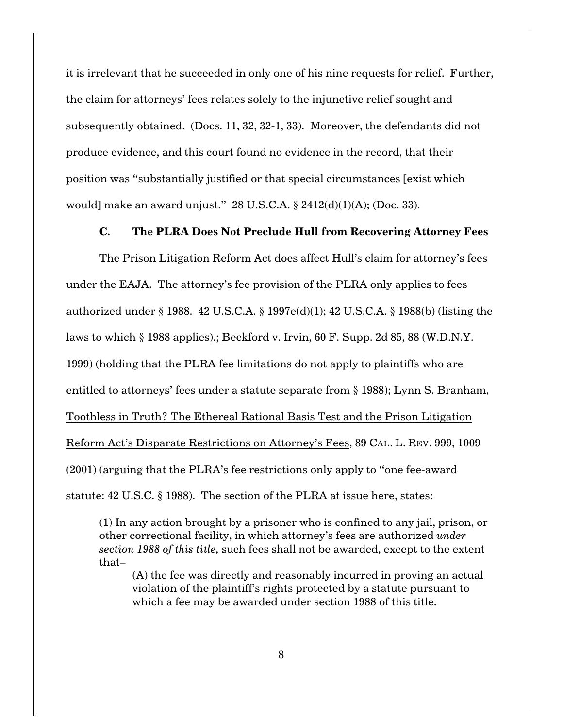it is irrelevant that he succeeded in only one of his nine requests for relief. Further, the claim for attorneys' fees relates solely to the injunctive relief sought and subsequently obtained. (Docs. 11, 32, 32-1, 33). Moreover, the defendants did not produce evidence, and this court found no evidence in the record, that their position was "substantially justified or that special circumstances [exist which would] make an award unjust." 28 U.S.C.A.  $\S 2412(d)(1)(A)$ ; (Doc. 33).

#### **C. The PLRA Does Not Preclude Hull from Recovering Attorney Fees**

The Prison Litigation Reform Act does affect Hull's claim for attorney's fees under the EAJA. The attorney's fee provision of the PLRA only applies to fees authorized under § 1988. 42 U.S.C.A. § 1997e(d)(1); 42 U.S.C.A. § 1988(b) (listing the laws to which § 1988 applies).; Beckford v. Irvin, 60 F. Supp. 2d 85, 88 (W.D.N.Y. 1999) (holding that the PLRA fee limitations do not apply to plaintiffs who are entitled to attorneys' fees under a statute separate from § 1988); Lynn S. Branham, Toothless in Truth? The Ethereal Rational Basis Test and the Prison Litigation Reform Act's Disparate Restrictions on Attorney's Fees, 89 CAL. L. REV. 999, 1009 (2001) (arguing that the PLRA's fee restrictions only apply to "one fee-award statute: 42 U.S.C. § 1988). The section of the PLRA at issue here, states:

(1) In any action brought by a prisoner who is confined to any jail, prison, or other correctional facility, in which attorney's fees are authorized *under section 1988 of this title,* such fees shall not be awarded, except to the extent that–

(A) the fee was directly and reasonably incurred in proving an actual violation of the plaintiff's rights protected by a statute pursuant to which a fee may be awarded under section 1988 of this title.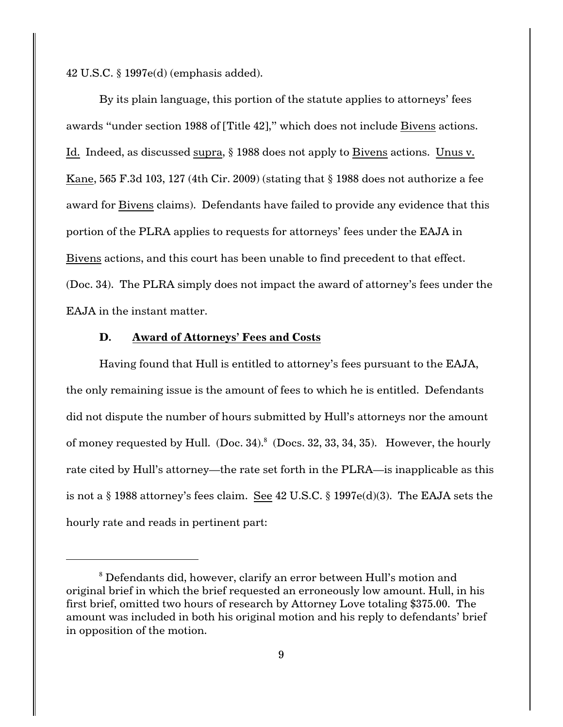42 U.S.C. § 1997e(d) (emphasis added).

By its plain language, this portion of the statute applies to attorneys' fees awards "under section 1988 of [Title 42]," which does not include Bivens actions. Id. Indeed, as discussed supra, § 1988 does not apply to Bivens actions. Unus v. Kane, 565 F.3d 103, 127 (4th Cir. 2009) (stating that  $\S$  1988 does not authorize a fee award for Bivens claims). Defendants have failed to provide any evidence that this portion of the PLRA applies to requests for attorneys' fees under the EAJA in Bivens actions, and this court has been unable to find precedent to that effect. (Doc. 34). The PLRA simply does not impact the award of attorney's fees under the EAJA in the instant matter.

#### **D. Award of Attorneys' Fees and Costs**

Having found that Hull is entitled to attorney's fees pursuant to the EAJA, the only remaining issue is the amount of fees to which he is entitled. Defendants did not dispute the number of hours submitted by Hull's attorneys nor the amount of money requested by Hull. (Doc. 34).  $8$  (Docs. 32, 33, 34, 35). However, the hourly rate cited by Hull's attorney—the rate set forth in the PLRA—is inapplicable as this is not a § 1988 attorney's fees claim. See 42 U.S.C. § 1997e(d)(3). The EAJA sets the hourly rate and reads in pertinent part:

<sup>&</sup>lt;sup>8</sup> Defendants did, however, clarify an error between Hull's motion and original brief in which the brief requested an erroneously low amount. Hull, in his first brief, omitted two hours of research by Attorney Love totaling \$375.00. The amount was included in both his original motion and his reply to defendants' brief in opposition of the motion.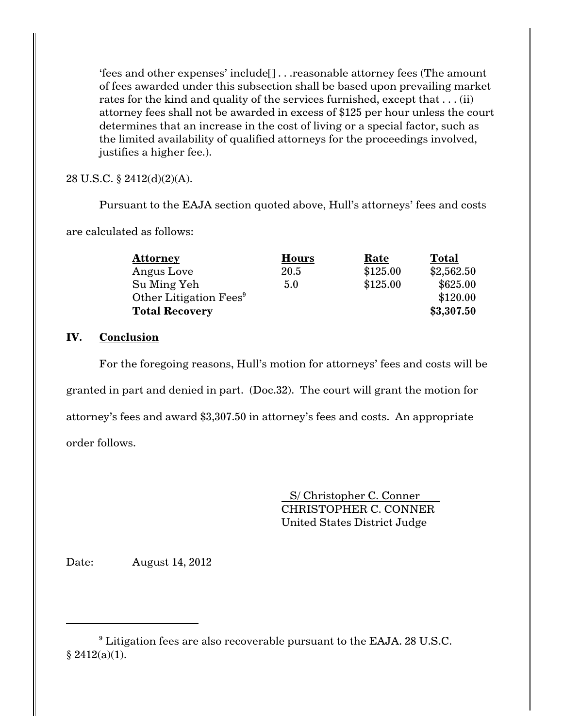'fees and other expenses' include[] . . .reasonable attorney fees (The amount of fees awarded under this subsection shall be based upon prevailing market rates for the kind and quality of the services furnished, except that . . . (ii) attorney fees shall not be awarded in excess of \$125 per hour unless the court determines that an increase in the cost of living or a special factor, such as the limited availability of qualified attorneys for the proceedings involved, justifies a higher fee.).

28 U.S.C. § 2412(d)(2)(A).

Pursuant to the EAJA section quoted above, Hull's attorneys' fees and costs

are calculated as follows:

| <b>Attorney</b>                    | <b>Hours</b> | Rate     | <b>Total</b> |
|------------------------------------|--------------|----------|--------------|
| Angus Love                         | 20.5         | \$125.00 | \$2,562.50   |
| Su Ming Yeh                        | 5.0          | \$125.00 | \$625.00     |
| Other Litigation Fees <sup>9</sup> |              |          | \$120.00     |
| <b>Total Recovery</b>              |              |          | \$3,307.50   |

# **IV. Conclusion**

For the foregoing reasons, Hull's motion for attorneys' fees and costs will be granted in part and denied in part. (Doc.32). The court will grant the motion for attorney's fees and award \$3,307.50 in attorney's fees and costs. An appropriate order follows.

> S/ Christopher C. Conner CHRISTOPHER C. CONNER United States District Judge

Date: August 14, 2012

 $\rm{^9}$  Litigation fees are also recoverable pursuant to the EAJA. 28 U.S.C.  $§ 2412(a)(1).$